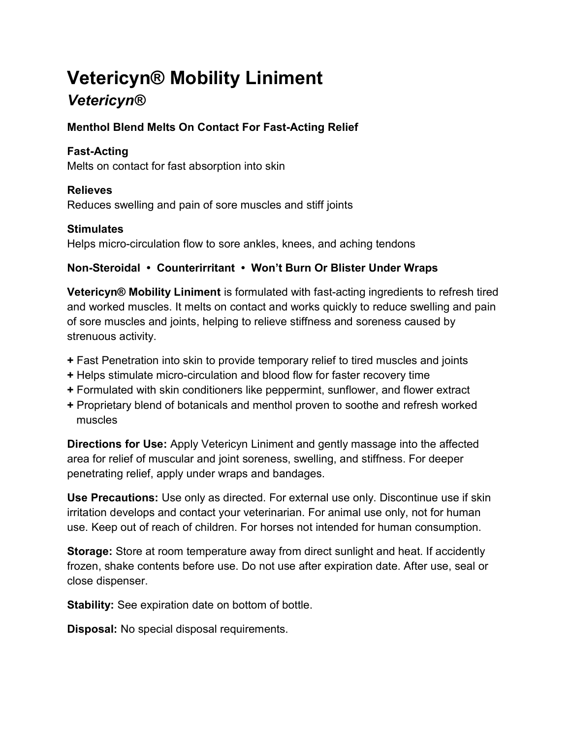# Vetericyn® Mobility Liniment

# **Vetericyn®**

#### Menthol Blend Melts On Contact For Fast-Acting Relief

#### Fast-Acting

Melts on contact for fast absorption into skin

# Relieves

Reduces swelling and pain of sore muscles and stiff joints

# **Stimulates**

Helps micro-circulation flow to sore ankles, knees, and aching tendons

# Non-Steroidal • Counterirritant • Won't Burn Or Blister Under Wraps

Vetericyn® Mobility Liniment is formulated with fast-acting ingredients to refresh tired and worked muscles. It melts on contact and works quickly to reduce swelling and pain of sore muscles and joints, helping to relieve stiffness and soreness caused by strenuous activity.

- + Fast Penetration into skin to provide temporary relief to tired muscles and joints
- + Helps stimulate micro-circulation and blood flow for faster recovery time
- + Formulated with skin conditioners like peppermint, sunflower, and flower extract
- + Proprietary blend of botanicals and menthol proven to soothe and refresh worked muscles

Directions for Use: Apply Vetericyn Liniment and gently massage into the affected area for relief of muscular and joint soreness, swelling, and stiffness. For deeper penetrating relief, apply under wraps and bandages.

Use Precautions: Use only as directed. For external use only. Discontinue use if skin irritation develops and contact your veterinarian. For animal use only, not for human use. Keep out of reach of children. For horses not intended for human consumption.

Storage: Store at room temperature away from direct sunlight and heat. If accidently frozen, shake contents before use. Do not use after expiration date. After use, seal or close dispenser.

Stability: See expiration date on bottom of bottle.

Disposal: No special disposal requirements.